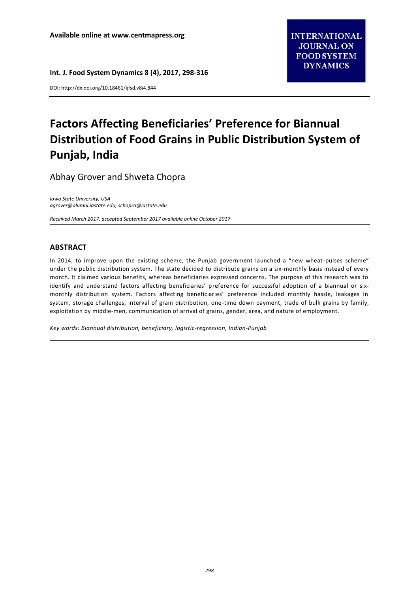DOI: http://dx.doi.org/10.18461/ijfsd.v8i4.844

# **INTERNATIONAL JOURNAL ON FOOD SYSTEM DYNAMICS**

# **Factors Affecting Beneficiaries' Preference for Biannual Distribution of Food Grains in Public Distribution System of Punjab, India**

Abhay Grover and Shweta Chopra

*Iowa State University, USA [agrover@alumni.iastate.edu;](mailto:agrover@alumni.iastate.edu) schopra@iastate.edu*

*Received March 2017, accepted September 2017 available online October 2017*

# **ABSTRACT**

In 2014, to improve upon the existing scheme, the Punjab government launched a "new wheat-pulses scheme" under the public distribution system. The state decided to distribute grains on a six-monthly basis instead of every month. It claimed various benefits, whereas beneficiaries expressed concerns. The purpose of this research was to identify and understand factors affecting beneficiaries' preference for successful adoption of a biannual or sixmonthly distribution system. Factors affecting beneficiaries' preference included monthly hassle, leakages in system, storage challenges, interval of grain distribution, one-time down payment, trade of bulk grains by family, exploitation by middle-men, communication of arrival of grains, gender, area, and nature of employment.

*Key words: Biannual distribution, beneficiary, logistic-regression, Indian-Punjab*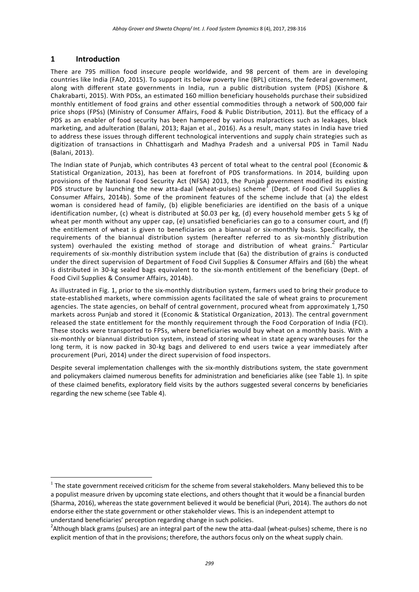# **1 Introduction**

<u>.</u>

There are 795 million food insecure people worldwide, and 98 percent of them are in developing countries like India (FAO, 2015). To support its below poverty line (BPL) citizens, the federal government, along with different state governments in India, run a public distribution system (PDS) (Kishore & Chakrabarti, 2015). With PDSs, an estimated 160 million beneficiary households purchase their subsidized monthly entitlement of food grains and other essential commodities through a network of 500,000 fair price shops (FPSs) (Ministry of Consumer Affairs, Food & Public Distribution, 2011). But the efficacy of a PDS as an enabler of food security has been hampered by various malpractices such as leakages, black marketing, and adulteration (Balani, 2013; Rajan et al., 2016). As a result, many states in India have tried to address these issues through different technological interventions and supply chain strategies such as digitization of transactions in Chhattisgarh and Madhya Pradesh and a universal PDS in Tamil Nadu (Balani, 2013).

The Indian state of Punjab, which contributes 43 percent of total wheat to the central pool (Economic & Statistical Organization, 2013), has been at forefront of PDS transformations. In 2014, building upon provisions of the National Food Security Act (NFSA) 2013, the Punjab government modified its existing PDS structure by launching the new atta-daal (wheat-pulses) scheme (Dept. of Food Civil Supplies & Consumer Affairs, 2014b). Some of the prominent features of the scheme include that (a) the eldest woman is considered head of family, (b) eligible beneficiaries are identified on the basis of a unique identification number, (c) wheat is distributed at \$0.03 per kg, (d) every household member gets 5 kg of wheat per month without any upper cap, (e) unsatisfied beneficiaries can go to a consumer court, and (f) the entitlement of wheat is given to beneficiaries on a biannual or six-monthly basis. Specifically, the requirements of the biannual distribution system (hereafter referred to as six-monthly distribution system) overhauled the existing method of storage and distribution of wheat grains.<sup>2</sup> Particular requirements of six-monthly distribution system include that (6a) the distribution of grains is conducted under the direct supervision of Department of Food Civil Supplies & Consumer Affairs and (6b) the wheat is distributed in 30-kg sealed bags equivalent to the six-month entitlement of the beneficiary (Dept. of Food Civil Supplies & Consumer Affairs, 2014b).

As illustrated in Fig. 1, prior to the six-monthly distribution system, farmers used to bring their produce to state-established markets, where commission agents facilitated the sale of wheat grains to procurement agencies. The state agencies, on behalf of central government, procured wheat from approximately 1,750 markets across Punjab and stored it (Economic & Statistical Organization, 2013). The central government released the state entitlement for the monthly requirement through the Food Corporation of India (FCI). These stocks were transported to FPSs, where beneficiaries would buy wheat on a monthly basis. With a six-monthly or biannual distribution system, instead of storing wheat in state agency warehouses for the long term, it is now packed in 30-kg bags and delivered to end users twice a year immediately after procurement (Puri, 2014) under the direct supervision of food inspectors.

Despite several implementation challenges with the six-monthly distributions system, the state government and policymakers claimed numerous benefits for administration and beneficiaries alike (see Table 1). In spite of these claimed benefits, exploratory field visits by the authors suggested several concerns by beneficiaries regarding the new scheme (see Table 4).

 $1$  The state government received criticism for the scheme from several stakeholders. Many believed this to be a populist measure driven by upcoming state elections, and others thought that it would be a financial burden (Sharma, 2016), whereas the state government believed it would be beneficial (Puri, 2014). The authors do not endorse either the state government or other stakeholder views. This is an independent attempt to understand beneficiaries' perception regarding change in such policies.

<sup>&</sup>lt;sup>2</sup>Although black grams (pulses) are an integral part of the new the atta-daal (wheat-pulses) scheme, there is no explicit mention of that in the provisions; therefore, the authors focus only on the wheat supply chain.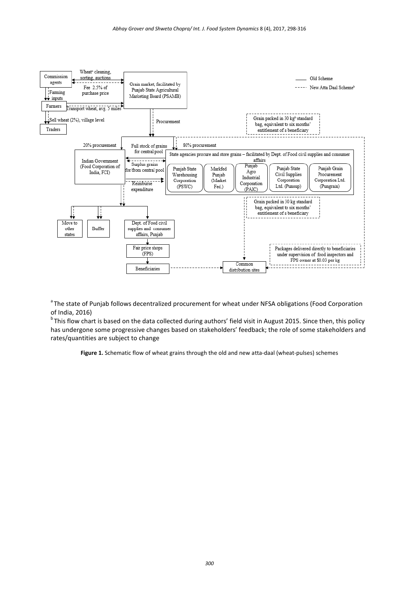

<sup>a</sup>The state of Punjab follows decentralized procurement for wheat under NFSA obligations (Food Corporation of India, 2016)

 $b$ This flow chart is based on the data collected during authors' field visit in August 2015. Since then, this policy has undergone some progressive changes based on stakeholders' feedback; the role of some stakeholders and rates/quantities are subject to change

**Figure 1.** Schematic flow of wheat grains through the old and new atta-daal (wheat-pulses) schemes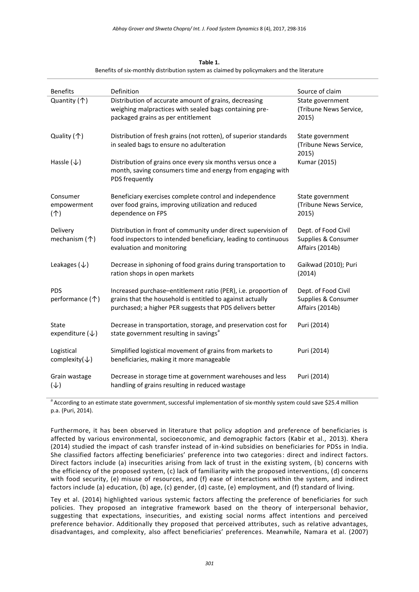| Table 1.                                                                                  |
|-------------------------------------------------------------------------------------------|
| Benefits of six-monthly distribution system as claimed by policymakers and the literature |

| <b>Benefits</b>                            | Definition                                                                                                                                                                               | Source of claim                                               |
|--------------------------------------------|------------------------------------------------------------------------------------------------------------------------------------------------------------------------------------------|---------------------------------------------------------------|
| Quantity (个)                               | Distribution of accurate amount of grains, decreasing<br>weighing malpractices with sealed bags containing pre-<br>packaged grains as per entitlement                                    | State government<br>(Tribune News Service,<br>2015)           |
| Quality (个)                                | Distribution of fresh grains (not rotten), of superior standards<br>in sealed bags to ensure no adulteration                                                                             | State government<br>(Tribune News Service,<br>2015)           |
| Hassle $(\downarrow)$                      | Distribution of grains once every six months versus once a<br>month, saving consumers time and energy from engaging with<br>PDS frequently                                               | Kumar (2015)                                                  |
| Consumer<br>empowerment<br>(               | Beneficiary exercises complete control and independence<br>over food grains, improving utilization and reduced<br>dependence on FPS                                                      | State government<br>(Tribune News Service,<br>2015)           |
| Delivery<br>mechanism $(\uparrow)$         | Distribution in front of community under direct supervision of<br>food inspectors to intended beneficiary, leading to continuous<br>evaluation and monitoring                            | Dept. of Food Civil<br>Supplies & Consumer<br>Affairs (2014b) |
| Leakages $(\downarrow)$                    | Decrease in siphoning of food grains during transportation to<br>ration shops in open markets                                                                                            | Gaikwad (2010); Puri<br>(2014)                                |
| <b>PDS</b><br>performance (个)              | Increased purchase-entitlement ratio (PER), i.e. proportion of<br>grains that the household is entitled to against actually<br>purchased; a higher PER suggests that PDS delivers better | Dept. of Food Civil<br>Supplies & Consumer<br>Affairs (2014b) |
| <b>State</b><br>expenditure $(\downarrow)$ | Decrease in transportation, storage, and preservation cost for<br>state government resulting in savings <sup>a</sup>                                                                     | Puri (2014)                                                   |
| Logistical<br>complexity( $\downarrow$ )   | Simplified logistical movement of grains from markets to<br>beneficiaries, making it more manageable                                                                                     | Puri (2014)                                                   |
| Grain wastage<br>$(\downarrow)$            | Decrease in storage time at government warehouses and less<br>handling of grains resulting in reduced wastage                                                                            | Puri (2014)                                                   |

 $a$  According to an estimate state government, successful implementation of six-monthly system could save \$25.4 million p.a. (Puri, 2014).

Furthermore, it has been observed in literature that policy adoption and preference of beneficiaries is affected by various environmental, socioeconomic, and demographic factors (Kabir et al., 2013). Khera (2014) studied the impact of cash transfer instead of in-kind subsidies on beneficiaries for PDSs in India. She classified factors affecting beneficiaries' preference into two categories: direct and indirect factors. Direct factors include (a) insecurities arising from lack of trust in the existing system, (b) concerns with the efficiency of the proposed system, (c) lack of familiarity with the proposed interventions, (d) concerns with food security, (e) misuse of resources, and (f) ease of interactions within the system, and indirect factors include (a) education, (b) age, (c) gender, (d) caste, (e) employment, and (f) standard of living.

Tey et al. (2014) highlighted various systemic factors affecting the preference of beneficiaries for such policies. They proposed an integrative framework based on the theory of interpersonal behavior, suggesting that expectations, insecurities, and existing social norms affect intentions and perceived preference behavior. Additionally they proposed that perceived attributes, such as relative advantages, disadvantages, and complexity, also affect beneficiaries' preferences. Meanwhile, Namara et al. (2007)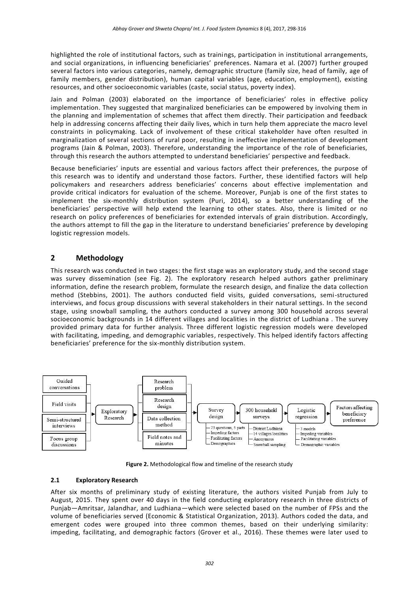highlighted the role of institutional factors, such as trainings, participation in institutional arrangements, and social organizations, in influencing beneficiaries' preferences. Namara et al. (2007) further grouped several factors into various categories, namely, demographic structure (family size, head of family, age of family members, gender distribution), human capital variables (age, education, employment), existing resources, and other socioeconomic variables (caste, social status, poverty index).

Jain and Polman (2003) elaborated on the importance of beneficiaries' roles in effective policy implementation. They suggested that marginalized beneficiaries can be empowered by involving them in the planning and implementation of schemes that affect them directly. Their participation and feedback help in addressing concerns affecting their daily lives, which in turn help them appreciate the macro level constraints in policymaking. Lack of involvement of these critical stakeholder have often resulted in marginalization of several sections of rural poor, resulting in ineffective implementation of development programs (Jain & Polman, 2003). Therefore, understanding the importance of the role of beneficiaries, through this research the authors attempted to understand beneficiaries' perspective and feedback.

Because beneficiaries' inputs are essential and various factors affect their preferences, the purpose of this research was to identify and understand those factors. Further, these identified factors will help policymakers and researchers address beneficiaries' concerns about effective implementation and provide critical indicators for evaluation of the scheme. Moreover, Punjab is one of the first states to implement the six-monthly distribution system (Puri, 2014), so a better understanding of the beneficiaries' perspective will help extend the learning to other states. Also, there is limited or no research on policy preferences of beneficiaries for extended intervals of grain distribution. Accordingly, the authors attempt to fill the gap in the literature to understand beneficiaries' preference by developing logistic regression models.

# **2 Methodology**

This research was conducted in two stages: the first stage was an exploratory study, and the second stage was survey dissemination (see Fig. 2). The exploratory research helped authors gather preliminary information, define the research problem, formulate the research design, and finalize the data collection method (Stebbins, 2001). The authors conducted field visits, guided conversations, semi-structured interviews, and focus group discussions with several stakeholders in their natural settings. In the second stage, using snowball sampling, the authors conducted a survey among 300 household across several socioeconomic backgrounds in 14 different villages and localities in the district of Ludhiana . The survey provided primary data for further analysis. Three different logistic regression models were developed with facilitating, impeding, and demographic variables, respectively. This helped identify factors affecting beneficiaries' preference for the six-monthly distribution system.





#### **2.1 Exploratory Research**

After six months of preliminary study of existing literature, the authors visited Punjab from July to August, 2015. They spent over 40 days in the field conducting exploratory research in three districts of Punjab—Amritsar, Jalandhar, and Ludhiana—which were selected based on the number of FPSs and the volume of beneficiaries served (Economic & Statistical Organization, 2013). Authors coded the data, and emergent codes were grouped into three common themes, based on their underlying similarity: impeding, facilitating, and demographic factors (Grover et al., 2016). These themes were later used to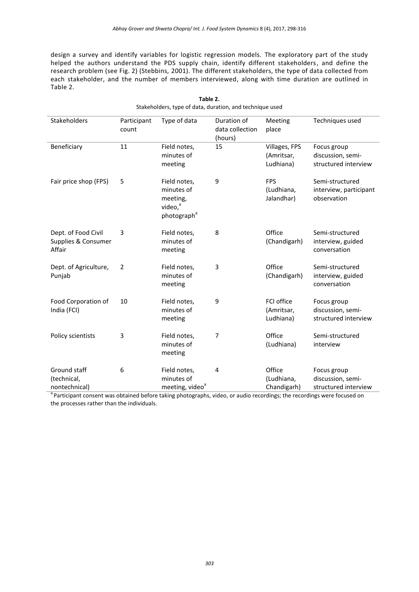design a survey and identify variables for logistic regression models. The exploratory part of the study helped the authors understand the PDS supply chain, identify different stakeholders, and define the research problem (see Fig. 2) (Stebbins, 2001). The different stakeholders, the type of data collected from each stakeholder, and the number of members interviewed, along with time duration are outlined in Table 2.

**Table 2.**

| Stakeholders, type of data, duration, and technique used |                      |                                                                                          |                                           |                                          |                                                          |  |  |
|----------------------------------------------------------|----------------------|------------------------------------------------------------------------------------------|-------------------------------------------|------------------------------------------|----------------------------------------------------------|--|--|
| Stakeholders                                             | Participant<br>count | Type of data                                                                             | Duration of<br>data collection<br>(hours) | Meeting<br>place                         | Techniques used                                          |  |  |
| Beneficiary                                              | 11                   | Field notes,<br>minutes of<br>meeting                                                    | 15                                        | Villages, FPS<br>(Amritsar,<br>Ludhiana) | Focus group<br>discussion, semi-<br>structured interview |  |  |
| Fair price shop (FPS)                                    | 5                    | Field notes,<br>minutes of<br>meeting,<br>video, <sup>a</sup><br>photograph <sup>ª</sup> | 9                                         | <b>FPS</b><br>(Ludhiana,<br>Jalandhar)   | Semi-structured<br>interview, participant<br>observation |  |  |
| Dept. of Food Civil<br>Supplies & Consumer<br>Affair     | 3                    | Field notes,<br>minutes of<br>meeting                                                    | 8                                         | Office<br>(Chandigarh)                   | Semi-structured<br>interview, guided<br>conversation     |  |  |
| Dept. of Agriculture,<br>Punjab                          | $\overline{2}$       | Field notes,<br>minutes of<br>meeting                                                    | 3                                         | Office<br>(Chandigarh)                   | Semi-structured<br>interview, guided<br>conversation     |  |  |
| Food Corporation of<br>India (FCI)                       | 10                   | Field notes,<br>minutes of<br>meeting                                                    | 9                                         | FCI office<br>(Amritsar,<br>Ludhiana)    | Focus group<br>discussion, semi-<br>structured interview |  |  |
| Policy scientists                                        | 3                    | Field notes,<br>minutes of<br>meeting                                                    | 7                                         | Office<br>(Ludhiana)                     | Semi-structured<br>interview                             |  |  |
| Ground staff<br>(technical,<br>nontechnical)             | 6                    | Field notes,<br>minutes of<br>meeting, video <sup>a</sup>                                | 4                                         | Office<br>(Ludhiana,<br>Chandigarh)      | Focus group<br>discussion, semi-<br>structured interview |  |  |

<sup>a</sup> Participant consent was obtained before taking photographs, video, or audio recordings; the recordings were focused on the processes rather than the individuals.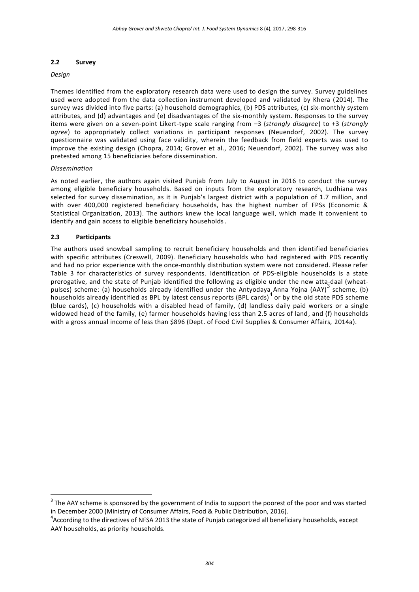## **2.2 Survey**

## *Design*

Themes identified from the exploratory research data were used to design the survey. Survey guidelines used were adopted from the data collection instrument developed and validated by Khera (2014). The survey was divided into five parts: (a) household demographics, (b) PDS attributes, (c) six-monthly system attributes, and (d) advantages and (e) disadvantages of the six-monthly system. Responses to the survey items were given on a seven-point Likert-type scale ranging from –3 (*strongly disagree*) to +3 (*strongly agree*) to appropriately collect variations in participant responses (Neuendorf, 2002). The survey questionnaire was validated using face validity, wherein the feedback from field experts was used to improve the existing design (Chopra, 2014; Grover et al., 2016; Neuendorf, 2002). The survey was also pretested among 15 beneficiaries before dissemination.

### *Dissemination*

As noted earlier, the authors again visited Punjab from July to August in 2016 to conduct the survey among eligible beneficiary households. Based on inputs from the exploratory research, Ludhiana was selected for survey dissemination, as it is Punjab's largest district with a population of 1.7 million, and with over 400,000 registered beneficiary households, has the highest number of FPSs (Economic & Statistical Organization, 2013). The authors knew the local language well, which made it convenient to identify and gain access to eligible beneficiary households.

## **2.3 Participants**

<u>.</u>

The authors used snowball sampling to recruit beneficiary households and then identified beneficiaries with specific attributes (Creswell, 2009). Beneficiary households who had registered with PDS recently and had no prior experience with the once-monthly distribution system were not considered. Please refer Table 3 for characteristics of survey respondents. Identification of PDS-eligible households is a state prerogative, and the state of Punjab identified the following as eligible under the new atta-daal (wheatpulses) scheme: (a) households already identified under the Antyodaya Anna Yojna (AAY)<sup>3</sup> scheme, (b) households already identified as BPL by latest census reports (BPL cards)<sup>4</sup> or by the old state PDS scheme (blue cards), (c) households with a disabled head of family, (d) landless daily paid workers or a single widowed head of the family, (e) farmer households having less than 2.5 acres of land, and (f) households with a gross annual income of less than \$896 (Dept. of Food Civil Supplies & Consumer Affairs, 2014a).

 $3$  The AAY scheme is sponsored by the government of India to support the poorest of the poor and was started in December 2000 (Ministry of Consumer Affairs, Food & Public Distribution, 2016).

 $4$ According to the directives of NFSA 2013 the state of Punjab categorized all beneficiary households, except AAY households, as priority households.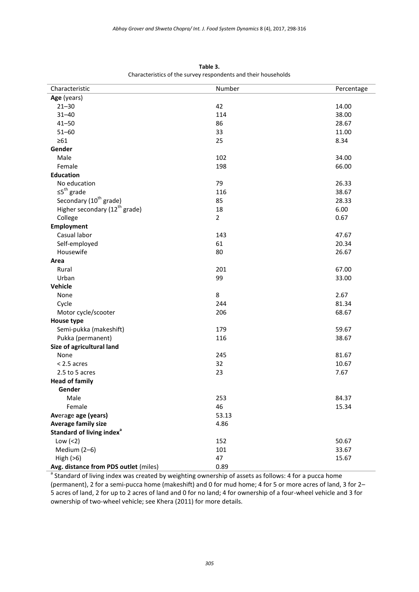| Characteristic                            | Number         | Percentage |
|-------------------------------------------|----------------|------------|
| Age (years)                               |                |            |
| $21 - 30$                                 | 42             | 14.00      |
| $31 - 40$                                 | 114            | 38.00      |
| $41 - 50$                                 | 86             | 28.67      |
| $51 - 60$                                 | 33             | 11.00      |
| $\geq 61$                                 | 25             | 8.34       |
| Gender                                    |                |            |
| Male                                      | 102            | 34.00      |
| Female                                    | 198            | 66.00      |
| <b>Education</b>                          |                |            |
| No education                              | 79             | 26.33      |
| $\leq 5^{\text{th}}$ grade                | 116            | 38.67      |
| Secondary (10 <sup>th</sup> grade)        | 85             | 28.33      |
| Higher secondary (12 <sup>th</sup> grade) | 18             | 6.00       |
| College                                   | $\overline{2}$ | 0.67       |
| Employment                                |                |            |
| Casual labor                              | 143            | 47.67      |
| Self-employed                             | 61             | 20.34      |
| Housewife                                 | 80             | 26.67      |
| Area                                      |                |            |
| Rural                                     | 201            | 67.00      |
| Urban                                     | 99             | 33.00      |
| Vehicle                                   |                |            |
| None                                      | 8              | 2.67       |
| Cycle                                     | 244            | 81.34      |
| Motor cycle/scooter                       | 206            | 68.67      |
| House type                                |                |            |
| Semi-pukka (makeshift)                    | 179            | 59.67      |
| Pukka (permanent)                         | 116            | 38.67      |
| Size of agricultural land                 |                |            |
| None                                      | 245            | 81.67      |
| $< 2.5$ acres                             | 32             | 10.67      |
| 2.5 to 5 acres                            | 23             | 7.67       |
| <b>Head of family</b>                     |                |            |
| Gender                                    |                |            |
| Male                                      | 253            | 84.37      |
| Female                                    | 46             | 15.34      |
| Average age (years)                       | 53.13          |            |
| <b>Average family size</b>                | 4.86           |            |
| Standard of living index <sup>a</sup>     |                |            |
| Low $(<2)$                                | 152            | 50.67      |
| Medium (2-6)                              | 101            | 33.67      |
| High $(>6)$                               | 47             | 15.67      |
| Avg. distance from PDS outlet (miles)     | 0.89           |            |

**Table 3.** Characteristics of the survey respondents and their households

<sup>a</sup> Standard of living index was created by weighting ownership of assets as follows: 4 for a pucca home (permanent), 2 for a semi-pucca home (makeshift) and 0 for mud home; 4 for 5 or more acres of land, 3 for 2– 5 acres of land, 2 for up to 2 acres of land and 0 for no land; 4 for ownership of a four-wheel vehicle and 3 for ownership of two-wheel vehicle; see Khera (2011) for more details.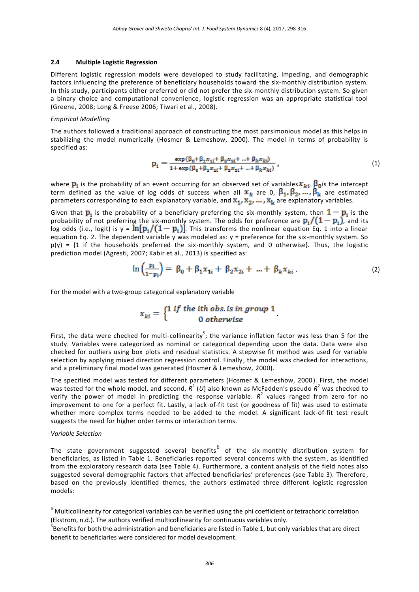#### **2.4 Multiple Logistic Regression**

Different logistic regression models were developed to study facilitating, impeding, and demographic factors influencing the preference of beneficiary households toward the six-monthly distribution system. In this study, participants either preferred or did not prefer the six-monthly distribution system. So given a binary choice and computational convenience, logistic regression was an appropriate statistical tool (Greene, 2008; Long & Freese 2006; Tiwari et al., 2008).

#### *Empirical Modelling*

The authors followed a traditional approach of constructing the most parsimonious model as this helps in stabilizing the model numerically (Hosmer & Lemeshow, 2000). The model in terms of probability is specified as:

$$
p_{i} = \frac{\exp(\beta_{0} + \beta_{1}x_{1i} + \beta_{2}x_{2i} + \dots + \beta_{k}x_{ki})}{1 + \exp(\beta_{0} + \beta_{1}x_{1i} + \beta_{2}x_{2i} + \dots + \beta_{k}x_{ki})},
$$
\n(1)

where  $\mathbf{p}_i$  is the probability of an event occurring for an observed set of variables  $x_{ki}$ ,  $\beta_0$  is the intercept term defined as the value of log odds of success when all  $x_k$  are 0,  $\beta_1, \beta_2, ..., \beta_k$  are estimated parameters corresponding to each explanatory variable, and  $x_1, x_2, ..., x_k$  are explanatory variables.

Given that  $\mathbf{p}_i$  is the probability of a beneficiary preferring the six-monthly system, then  $\mathbf{1}-\mathbf{p}_i$  is the probability of not preferring the six-monthly system. The odds for preference are  $\mathbf{p}_i/(1-\mathbf{p}_i)$ , and its log odds (i.e., logit) is  $y = \ln[p_i/(1-p_i)]$ . This transforms the nonlinear equation Eq. 1 into a linear equation Eq. 2. The dependent variable y was modeled as:  $y =$  preference for the six-monthly system. So  $p(y) = \{1$  if the households preferred the six-monthly system, and 0 otherwise}. Thus, the logistic prediction model (Agresti, 2007; Kabir et al., 2013) is specified as:

$$
\ln\left(\frac{p_i}{1-p_i}\right) = \beta_0 + \beta_1 x_{1i} + \beta_2 x_{2i} + \dots + \beta_k x_{ki}.
$$
 (2)

For the model with a two-group categorical explanatory variable

$$
x_{ki} = \begin{cases} 1 \text{ if the ith obs. is in group 1} \\ 0 \text{ otherwise} \end{cases}
$$

First, the data were checked for multi-collinearity<sup>5</sup>; the variance inflation factor was less than 5 for the study. Variables were categorized as nominal or categorical depending upon the data. Data were also checked for outliers using box plots and residual statistics. A stepwise fit method was used for variable selection by applying mixed direction regression control. Finally, the model was checked for interactions, and a preliminary final model was generated (Hosmer & Lemeshow, 2000).

The specified model was tested for different parameters (Hosmer & Lemeshow, 2000). First, the model was tested for the whole model, and second,  $R^2$  (*U*) also known as McFadden's pseudo  $R^2$  was checked to verify the power of model in predicting the response variable.  $R^2$  values ranged from zero for no improvement to one for a perfect fit. Lastly, a lack-of-fit test (or goodness of fit) was used to estimate whether more complex terms needed to be added to the model. A significant lack-of-fit test result suggests the need for higher order terms or interaction terms.

#### *Variable Selection*

<u>.</u>

The state government suggested several benefits<sup>6</sup> of the six-monthly distribution system for beneficiaries, as listed in Table 1. Beneficiaries reported several concerns with the system, as identified from the exploratory research data (see Table 4). Furthermore, a content analysis of the field notes also suggested several demographic factors that affected beneficiaries' preferences (see Table 3). Therefore, based on the previously identified themes, the authors estimated three different logistic regression models:

<sup>&</sup>lt;sup>5</sup> Multicollinearity for categorical variables can be verified using the phi coefficient or tetrachoric correlation (Ekstrom, n.d.). The authors verified multicollinearity for continuous variables only.

 ${}^{6}$ Benefits for both the administration and beneficiaries are listed in Table 1, but only variables that are direct benefit to beneficiaries were considered for model development.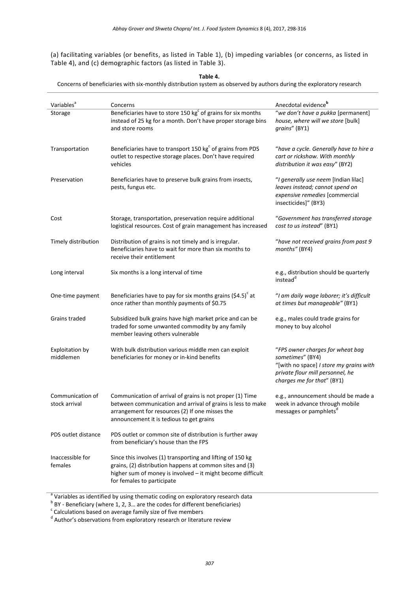(a) facilitating variables (or benefits, as listed in Table 1), (b) impeding variables (or concerns, as listed in Table 4), and (c) demographic factors (as listed in Table 3).

| Variables <sup>a</sup>            | Concerns                                                                                                                                                                                                                | Anecdotal evidence <sup>b</sup>                                                                                                                                   |
|-----------------------------------|-------------------------------------------------------------------------------------------------------------------------------------------------------------------------------------------------------------------------|-------------------------------------------------------------------------------------------------------------------------------------------------------------------|
| Storage                           | Beneficiaries have to store 150 kg <sup>c</sup> of grains for six months<br>instead of 25 kg for a month. Don't have proper storage bins<br>and store rooms                                                             | "we don't have a pukka [permanent]<br>house, where will we store [bulk]<br>grains" (BY1)                                                                          |
| Transportation                    | Beneficiaries have to transport 150 kg <sup>c</sup> of grains from PDS<br>outlet to respective storage places. Don't have required<br>vehicles                                                                          | "have a cycle. Generally have to hire a<br>cart or rickshaw. With monthly<br>distribution it was easy" (BY2)                                                      |
| Preservation                      | Beneficiaries have to preserve bulk grains from insects,<br>pests, fungus etc.                                                                                                                                          | "I generally use neem [Indian lilac]<br>leaves instead; cannot spend on<br>expensive remedies [commercial<br>insecticides]" (BY3)                                 |
| Cost                              | Storage, transportation, preservation require additional<br>logistical resources. Cost of grain management has increased                                                                                                | "Government has transferred storage<br>cost to us instead" (BY1)                                                                                                  |
| Timely distribution               | Distribution of grains is not timely and is irregular.<br>Beneficiaries have to wait for more than six months to<br>receive their entitlement                                                                           | "have not received grains from past 9<br>months" (BY4)                                                                                                            |
| Long interval                     | Six months is a long interval of time                                                                                                                                                                                   | e.g., distribution should be quarterly<br>instead <sup>d</sup>                                                                                                    |
| One-time payment                  | Beneficiaries have to pay for six months grains (\$4.5) $\textdegree$ at<br>once rather than monthly payments of \$0.75                                                                                                 | "I am daily wage laborer; it's difficult<br>at times but manageable" (BY1)                                                                                        |
| Grains traded                     | Subsidized bulk grains have high market price and can be<br>traded for some unwanted commodity by any family<br>member leaving others vulnerable                                                                        | e.g., males could trade grains for<br>money to buy alcohol                                                                                                        |
| Exploitation by<br>middlemen      | With bulk distribution various middle men can exploit<br>beneficiaries for money or in-kind benefits                                                                                                                    | "FPS owner charges for wheat bag<br>sometimes" (BY4)<br>"[with no space] I store my grains with<br>private flour mill personnel, he<br>charges me for that" (BY1) |
| Communication of<br>stock arrival | Communication of arrival of grains is not proper (1) Time<br>between communication and arrival of grains is less to make<br>arrangement for resources (2) If one misses the<br>announcement it is tedious to get grains | e.g., announcement should be made a<br>week in advance through mobile<br>messages or pamphlets <sup>d</sup>                                                       |
| PDS outlet distance               | PDS outlet or common site of distribution is further away<br>from beneficiary's house than the FPS                                                                                                                      |                                                                                                                                                                   |
| Inaccessible for<br>females       | Since this involves (1) transporting and lifting of 150 kg<br>grains, (2) distribution happens at common sites and (3)<br>higher sum of money is involved - it might become difficult<br>for females to participate     |                                                                                                                                                                   |

**Table 4.** Concerns of beneficiaries with six-monthly distribution system as observed by authors during the exploratory research

<sup>a</sup> Variables as identified by using thematic coding on exploratory research data

<sup>b</sup> BY - Beneficiary (where 1, 2, 3... are the codes for different beneficiaries)<br><sup>c</sup> Calculations based on average family size of five members

<sup>d</sup> Author's observations from exploratory research or literature review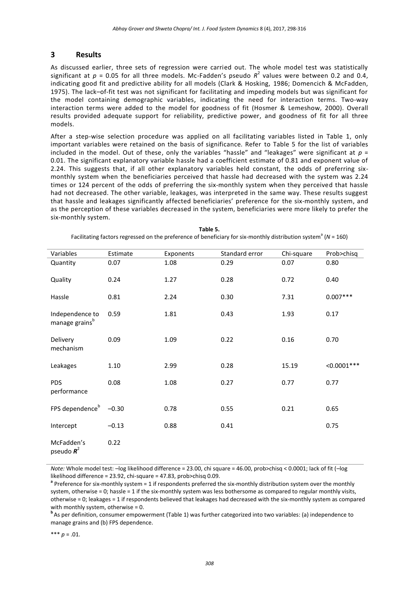## **3 Results**

As discussed earlier, three sets of regression were carried out. The whole model test was statistically significant at  $p = 0.05$  for all three models. Mc-Fadden's pseudo  $R^2$  values were between 0.2 and 0.4, indicating good fit and predictive ability for all models (Clark & Hosking, 1986; Domencich & McFadden, 1975). The lack–of-fit test was not significant for facilitating and impeding models but was significant for the model containing demographic variables, indicating the need for interaction terms. Two-way interaction terms were added to the model for goodness of fit (Hosmer & Lemeshow, 2000). Overall results provided adequate support for reliability, predictive power, and goodness of fit for all three models.

After a step-wise selection procedure was applied on all facilitating variables listed in Table 1, only important variables were retained on the basis of significance. Refer to Table 5 for the list of variables included in the model. Out of these, only the variables "hassle" and "leakages" were significant at  $p =$ 0.01. The significant explanatory variable hassle had a coefficient estimate of 0.81 and exponent value of 2.24. This suggests that, if all other explanatory variables held constant, the odds of preferring sixmonthly system when the beneficiaries perceived that hassle had decreased with the system was 2.24 times or 124 percent of the odds of preferring the six-monthly system when they perceived that hassle had not decreased. The other variable, leakages, was interpreted in the same way. These results suggest that hassle and leakages significantly affected beneficiaries' preference for the six-monthly system, and as the perception of these variables decreased in the system, beneficiaries were more likely to prefer the six-monthly system.

| Variables                                     | Estimate | Exponents | Standard error | Chi-square | Prob>chisq     |
|-----------------------------------------------|----------|-----------|----------------|------------|----------------|
| Quantity                                      | 0.07     | 1.08      | 0.29           | 0.07       | 0.80           |
| Quality                                       | 0.24     | 1.27      | 0.28           | 0.72       | 0.40           |
| Hassle                                        | 0.81     | 2.24      | 0.30           | 7.31       | $0.007***$     |
| Independence to<br>manage grains <sup>b</sup> | 0.59     | 1.81      | 0.43           | 1.93       | 0.17           |
| Delivery<br>mechanism                         | 0.09     | 1.09      | 0.22           | 0.16       | 0.70           |
| Leakages                                      | 1.10     | 2.99      | 0.28           | 15.19      | $< 0.0001$ *** |
| <b>PDS</b><br>performance                     | 0.08     | 1.08      | 0.27           | 0.77       | 0.77           |
| FPS dependence <sup>b</sup>                   | $-0.30$  | 0.78      | 0.55           | 0.21       | 0.65           |
| Intercept                                     | $-0.13$  | 0.88      | 0.41           |            | 0.75           |
| McFadden's<br>pseudo $R^2$                    | 0.22     |           |                |            |                |

**Table 5.** Facilitating factors regressed on the preference of beneficiary for six-monthly distribution system<sup>a</sup> (N = 160)

*Note:* Whole model test: –log likelihood difference = 23.00, chi square = 46.00, prob>chisq < 0.0001; lack of fit (–log likelihood difference = 23.92, chi-square = 47.83, prob>chisq 0.09.

**a** Preference for six-monthly system = 1 if respondents preferred the six-monthly distribution system over the monthly system, otherwise = 0; hassle = 1 if the six-monthly system was less bothersome as compared to regular monthly visits, otherwise = 0; leakages = 1 if respondents believed that leakages had decreased with the six-monthly system as compared with monthly system, otherwise = 0.

**<sup>b</sup>**As per definition, consumer empowerment (Table 1) was further categorized into two variables: (a) independence to manage grains and (b) FPS dependence.

\*\*\* *p* = .01.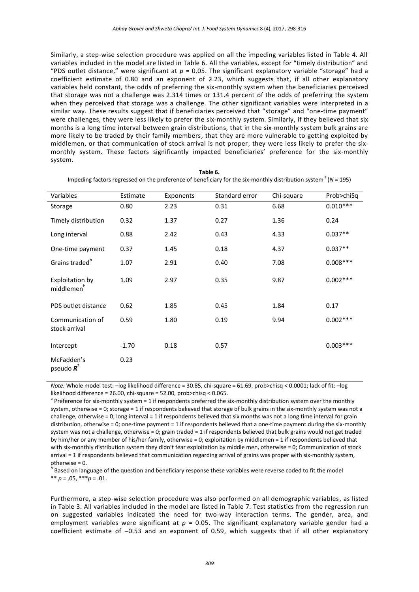Similarly, a step-wise selection procedure was applied on all the impeding variables listed in Table 4. All variables included in the model are listed in Table 6. All the variables, except for "timely distribution" and "PDS outlet distance," were significant at  $p = 0.05$ . The significant explanatory variable "storage" had a coefficient estimate of 0.80 and an exponent of 2.23, which suggests that, if all other explanatory variables held constant, the odds of preferring the six-monthly system when the beneficiaries perceived that storage was not a challenge was 2.314 times or 131.4 percent of the odds of preferring the system when they perceived that storage was a challenge. The other significant variables were interpreted in a similar way. These results suggest that if beneficiaries perceived that "storage" and "one-time payment" were challenges, they were less likely to prefer the six-monthly system. Similarly, if they believed that six months is a long time interval between grain distributions, that in the six-monthly system bulk grains are more likely to be traded by their family members, that they are more vulnerable to getting exploited by middlemen, or that communication of stock arrival is not proper, they were less likely to prefer the sixmonthly system. These factors significantly impacted beneficiaries' preference for the six-monthly system.

| Variables                                 | Estimate | Exponents | Standard error | Chi-square | Prob>chiSq |
|-------------------------------------------|----------|-----------|----------------|------------|------------|
| Storage                                   | 0.80     | 2.23      | 0.31           | 6.68       | $0.010***$ |
| Timely distribution                       | 0.32     | 1.37      | 0.27           | 1.36       | 0.24       |
| Long interval                             | 0.88     | 2.42      | 0.43           | 4.33       | $0.037**$  |
| One-time payment                          | 0.37     | 1.45      | 0.18           | 4.37       | $0.037**$  |
| Grains traded <sup>b</sup>                | 1.07     | 2.91      | 0.40           | 7.08       | $0.008***$ |
| Exploitation by<br>middlemen <sup>b</sup> | 1.09     | 2.97      | 0.35           | 9.87       | $0.002***$ |
| PDS outlet distance                       | 0.62     | 1.85      | 0.45           | 1.84       | 0.17       |
| Communication of<br>stock arrival         | 0.59     | 1.80      | 0.19           | 9.94       | $0.002***$ |
| Intercept                                 | $-1.70$  | 0.18      | 0.57           |            | $0.003***$ |
| McFadden's<br>pseudo $\boldsymbol{R}^2$   | 0.23     |           |                |            |            |

**Table 6.** Impeding factors regressed on the preference of beneficiary for the six-monthly distribution system <sup>a</sup> (N = 195)

*Note:* Whole model test: –log likelihood difference = 30.85, chi-square = 61.69, prob>chisq < 0.0001; lack of fit: –log likelihood difference = 26.00, chi-square = 52.00, prob>chisq < 0.065.

<sup>a</sup> Preference for six-monthly system = 1 if respondents preferred the six-monthly distribution system over the monthly system, otherwise = 0; storage = 1 if respondents believed that storage of bulk grains in the six-monthly system was not a challenge, otherwise = 0; long interval = 1 if respondents believed that six months was not a long time interval for grain distribution, otherwise = 0; one-time payment = 1 if respondents believed that a one-time payment during the six-monthly system was not a challenge, otherwise = 0; grain traded = 1 if respondents believed that bulk grains would not get traded by him/her or any member of his/her family, otherwise = 0; exploitation by middlemen = 1 if respondents believed that with six-monthly distribution system they didn't fear exploitation by middle men, otherwise = 0; Communication of stock arrival = 1 if respondents believed that communication regarding arrival of grains was proper with six-monthly system, otherwise = 0.

**b** Based on language of the question and beneficiary response these variables were reverse coded to fit the model \*\* *p =* .05, \*\*\**p* = .01.

Furthermore, a step-wise selection procedure was also performed on all demographic variables, as listed in Table 3. All variables included in the model are listed in Table 7. Test statistics from the regression run on suggested variables indicated the need for two-way interaction terms. The gender, area, and employment variables were significant at *p* = 0.05. The significant explanatory variable gender had a coefficient estimate of –0.53 and an exponent of 0.59, which suggests that if all other explanatory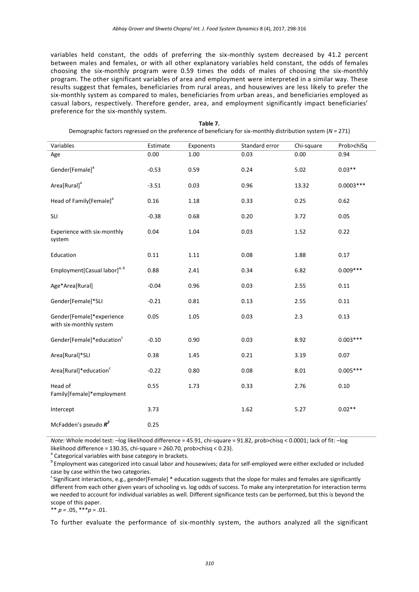variables held constant, the odds of preferring the six-monthly system decreased by 41.2 percent between males and females, or with all other explanatory variables held constant, the odds of females choosing the six-monthly program were 0.59 times the odds of males of choosing the six-monthly program. The other significant variables of area and employment were interpreted in a similar way. These results suggest that females, beneficiaries from rural areas, and housewives are less likely to prefer the six-monthly system as compared to males, beneficiaries from urban areas, and beneficiaries employed as casual labors, respectively. Therefore gender, area, and employment significantly impact beneficiaries' preference for the six-monthly system.

| Variables                                            | Estimate | Exponents | Standard error | Chi-square | Prob>chiSq  |
|------------------------------------------------------|----------|-----------|----------------|------------|-------------|
| Age                                                  | 0.00     | 1.00      | 0.03           | 0.00       | 0.94        |
| Gender[Female] <sup>a</sup>                          | $-0.53$  | 0.59      | 0.24           | 5.02       | $0.03**$    |
| Area[Rural] <sup>a</sup>                             | $-3.51$  | 0.03      | 0.96           | 13.32      | $0.0003***$ |
| Head of Family[Female] <sup>a</sup>                  | 0.16     | 1.18      | 0.33           | 0.25       | 0.62        |
| <b>SLI</b>                                           | $-0.38$  | 0.68      | 0.20           | 3.72       | 0.05        |
| Experience with six-monthly<br>system                | 0.04     | 1.04      | 0.03           | 1.52       | 0.22        |
| Education                                            | 0.11     | 1.11      | 0.08           | 1.88       | 0.17        |
| Employment [Casual labor] <sup>a, b</sup>            | 0.88     | 2.41      | 0.34           | 6.82       | $0.009***$  |
| Age*Area[Rural]                                      | $-0.04$  | 0.96      | 0.03           | 2.55       | 0.11        |
| Gender[Female]*SLI                                   | $-0.21$  | 0.81      | 0.13           | 2.55       | 0.11        |
| Gender[Female]*experience<br>with six-monthly system | 0.05     | 1.05      | 0.03           | 2.3        | 0.13        |
| Gender[Female]*education <sup>c</sup>                | $-0.10$  | 0.90      | 0.03           | 8.92       | $0.003***$  |
| Area[Rural]*SLI                                      | 0.38     | 1.45      | 0.21           | 3.19       | 0.07        |
| Area[Rural]*education <sup>c</sup>                   | $-0.22$  | 0.80      | 0.08           | 8.01       | $0.005***$  |
| Head of<br>Family[Female]*employment                 | 0.55     | 1.73      | 0.33           | 2.76       | 0.10        |
| Intercept                                            | 3.73     |           | 1.62           | 5.27       | $0.02**$    |
| McFadden's pseudo $R^2$                              | 0.25     |           |                |            |             |

**Table 7.** Demographic factors regressed on the preference of beneficiary for six-monthly distribution system (*N* = 271)

*Note:* Whole model test: –log likelihood difference = 45.91, chi-square = 91.82, prob>chisq < 0.0001; lack of fit: –log likelihood difference = 130.35, chi-square = 260.70, prob>chisq < 0.23).

<sup>a</sup> Categorical variables with base category in brackets.

**b** Employment was categorized into casual labor and housewives; data for self-employed were either excluded or included case by case within the two categories.

 $c$ Significant interactions, e.g., gender[Female]  $*$  education suggests that the slope for males and females are significantly different from each other given years of schooling vs. log odds of success. To make any interpretation for interaction terms we needed to account for individual variables as well. Different significance tests can be performed, but this is beyond the scope of this paper.

\*\* *p = .*05, \*\*\**p* = .01.

To further evaluate the performance of six-monthly system, the authors analyzed all the significant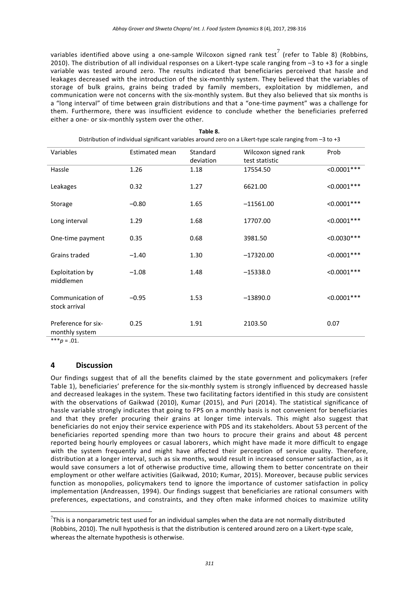variables identified above using a one-sample Wilcoxon signed rank test<sup>7</sup> (refer to Table 8) (Robbins, 2010). The distribution of all individual responses on a Likert-type scale ranging from –3 to +3 for a single variable was tested around zero. The results indicated that beneficiaries perceived that hassle and leakages decreased with the introduction of the six-monthly system. They believed that the variables of storage of bulk grains, grains being traded by family members, exploitation by middlemen, and communication were not concerns with the six-monthly system. But they also believed that six months is a "long interval" of time between grain distributions and that a "one-time payment" was a challenge for them. Furthermore, there was insufficient evidence to conclude whether the beneficiaries preferred either a one- or six-monthly system over the other.

**Table 8.**

| Distribution of individual significant variables around zero on a Likert-type scale ranging from -3 to +3 |                |           |                      |                |  |  |  |
|-----------------------------------------------------------------------------------------------------------|----------------|-----------|----------------------|----------------|--|--|--|
| Variables                                                                                                 | Estimated mean | Standard  | Wilcoxon signed rank | Prob           |  |  |  |
|                                                                                                           |                | deviation | test statistic       |                |  |  |  |
| Hassle                                                                                                    | 1.26           | 1.18      | 17554.50             | $< 0.0001***$  |  |  |  |
| Leakages                                                                                                  | 0.32           | 1.27      | 6621.00              | $< 0.0001$ *** |  |  |  |
| Storage                                                                                                   | $-0.80$        | 1.65      | $-11561.00$          | $< 0.0001***$  |  |  |  |
| Long interval                                                                                             | 1.29           | 1.68      | 17707.00             | $< 0.0001$ *** |  |  |  |
| One-time payment                                                                                          | 0.35           | 0.68      | 3981.50              | $< 0.0030***$  |  |  |  |
| Grains traded                                                                                             | $-1.40$        | 1.30      | $-17320.00$          | $< 0.0001***$  |  |  |  |
| Exploitation by<br>middlemen                                                                              | $-1.08$        | 1.48      | $-15338.0$           | $< 0.0001$ *** |  |  |  |
| Communication of<br>stock arrival                                                                         | $-0.95$        | 1.53      | $-13890.0$           | $< 0.0001$ *** |  |  |  |
| Preference for six-<br>monthly system                                                                     | 0.25           | 1.91      | 2103.50              | 0.07           |  |  |  |

\*\*\**p* = .01.

<u>.</u>

## **4 Discussion**

Our findings suggest that of all the benefits claimed by the state government and policymakers (refer Table 1), beneficiaries' preference for the six-monthly system is strongly influenced by decreased hassle and decreased leakages in the system. These two facilitating factors identified in this study are consistent with the observations of Gaikwad (2010), Kumar (2015), and Puri (2014). The statistical significance of hassle variable strongly indicates that going to FPS on a monthly basis is not convenient for beneficiaries and that they prefer procuring their grains at longer time intervals. This might also suggest that beneficiaries do not enjoy their service experience with PDS and its stakeholders. About 53 percent of the beneficiaries reported spending more than two hours to procure their grains and about 48 percent reported being hourly employees or casual laborers, which might have made it more difficult to engage with the system frequently and might have affected their perception of service quality. Therefore, distribution at a longer interval, such as six months, would result in increased consumer satisfaction, as it would save consumers a lot of otherwise productive time, allowing them to better concentrate on their employment or other welfare activities (Gaikwad, 2010; Kumar, 2015). Moreover, because public services function as monopolies, policymakers tend to ignore the importance of customer satisfaction in policy implementation (Andreassen, 1994). Our findings suggest that beneficiaries are rational consumers with preferences, expectations, and constraints, and they often make informed choices to maximize utility

 $7$ This is a nonparametric test used for an individual samples when the data are not normally distributed (Robbins, 2010). The null hypothesis is that the distribution is centered around zero on a Likert-type scale, whereas the alternate hypothesis is otherwise.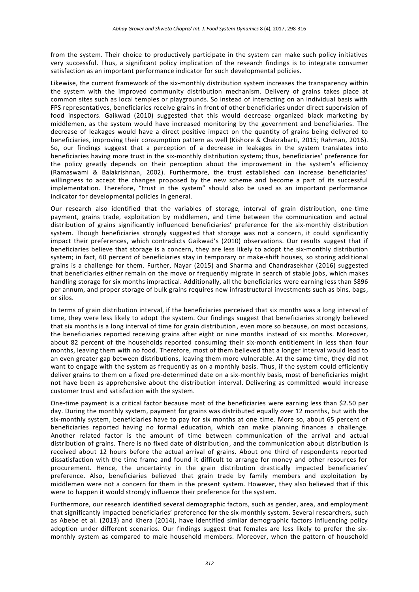from the system. Their choice to productively participate in the system can make such policy initiatives very successful. Thus, a significant policy implication of the research findings is to integrate consumer satisfaction as an important performance indicator for such developmental policies.

Likewise, the current framework of the six-monthly distribution system increases the transparency within the system with the improved community distribution mechanism. Delivery of grains takes place at common sites such as local temples or playgrounds. So instead of interacting on an individual basis with FPS representatives, beneficiaries receive grains in front of other beneficiaries under direct supervision of food inspectors. Gaikwad (2010) suggested that this would decrease organized black marketing by middlemen, as the system would have increased monitoring by the government and beneficiaries. The decrease of leakages would have a direct positive impact on the quantity of grains being delivered to beneficiaries, improving their consumption pattern as well (Kishore & Chakrabarti, 2015; Rahman, 2016). So, our findings suggest that a perception of a decrease in leakages in the system translates into beneficiaries having more trust in the six-monthly distribution system; thus, beneficiaries' preference for the policy greatly depends on their perception about the improvement in the system's efficiency (Ramaswami & Balakrishnan, 2002). Furthermore, the trust established can increase beneficiaries' willingness to accept the changes proposed by the new scheme and become a part of its successful implementation. Therefore, "trust in the system" should also be used as an important performance indicator for developmental policies in general.

Our research also identified that the variables of storage, interval of grain distribution, one-time payment, grains trade, exploitation by middlemen, and time between the communication and actual distribution of grains significantly influenced beneficiaries' preference for the six-monthly distribution system. Though beneficiaries strongly suggested that storage was not a concern, it could significantly impact their preferences, which contradicts Gaikwad's (2010) observations. Our results suggest that if beneficiaries believe that storage is a concern, they are less likely to adopt the six-monthly distribution system; in fact, 60 percent of beneficiaries stay in temporary or make-shift houses, so storing additional grains is a challenge for them. Further, Nayar (2015) and Sharma and Chandrasekhar (2016) suggested that beneficiaries either remain on the move or frequently migrate in search of stable jobs, which makes handling storage for six months impractical. Additionally, all the beneficiaries were earning less than \$896 per annum, and proper storage of bulk grains requires new infrastructural investments such as bins, bags, or silos.

In terms of grain distribution interval, if the beneficiaries perceived that six months was a long interval of time, they were less likely to adopt the system. Our findings suggest that beneficiaries strongly believed that six months is a long interval of time for grain distribution, even more so because, on most occasions, the beneficiaries reported receiving grains after eight or nine months instead of six months. Moreover, about 82 percent of the households reported consuming their six-month entitlement in less than four months, leaving them with no food. Therefore, most of them believed that a longer interval would lead to an even greater gap between distributions, leaving them more vulnerable. At the same time, they did not want to engage with the system as frequently as on a monthly basis. Thus, if the system could efficiently deliver grains to them on a fixed pre-determined date on a six-monthly basis, most of beneficiaries might not have been as apprehensive about the distribution interval. Delivering as committed would increase customer trust and satisfaction with the system.

One-time payment is a critical factor because most of the beneficiaries were earning less than \$2.50 per day. During the monthly system, payment for grains was distributed equally over 12 months, but with the six-monthly system, beneficiaries have to pay for six months at one time. More so, about 65 percent of beneficiaries reported having no formal education, which can make planning finances a challenge. Another related factor is the amount of time between communication of the arrival and actual distribution of grains. There is no fixed date of distribution, and the communication about distribution is received about 12 hours before the actual arrival of grains. About one third of respondents reported dissatisfaction with the time frame and found it difficult to arrange for money and other resources for procurement. Hence, the uncertainty in the grain distribution drastically impacted beneficiaries' preference. Also, beneficiaries believed that grain trade by family members and exploitation by middlemen were not a concern for them in the present system. However, they also believed that if this were to happen it would strongly influence their preference for the system.

Furthermore, our research identified several demographic factors, such as gender, area, and employment that significantly impacted beneficiaries' preference for the six-monthly system. Several researchers, such as Abebe et al. (2013) and Khera (2014), have identified similar demographic factors influencing policy adoption under different scenarios. Our findings suggest that females are less likely to prefer the sixmonthly system as compared to male household members. Moreover, when the pattern of household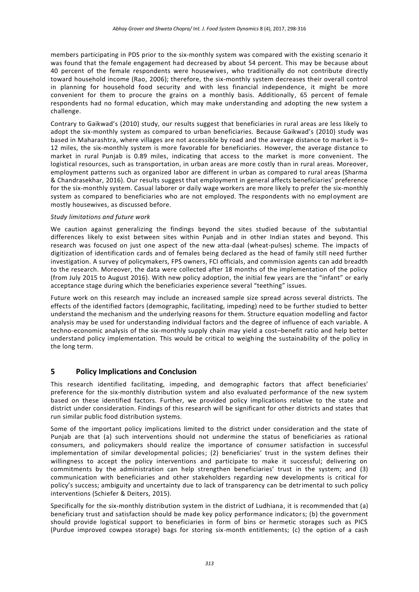members participating in PDS prior to the six-monthly system was compared with the existing scenario it was found that the female engagement had decreased by about 54 percent. This may be because about 40 percent of the female respondents were housewives, who traditionally do not contribute directly toward household income (Rao, 2006); therefore, the six-monthly system decreases their overall control in planning for household food security and with less financial independence, it might be more convenient for them to procure the grains on a monthly basis. Additionally, 65 percent of female respondents had no formal education, which may make understanding and adopting the new system a challenge.

Contrary to Gaikwad's (2010) study, our results suggest that beneficiaries in rural areas are less likely to adopt the six-monthly system as compared to urban beneficiaries. Because Gaikwad's (2010) study was based in Maharashtra, where villages are not accessible by road and the average distance to market is 9– 12 miles, the six-monthly system is more favorable for beneficiaries. However, the average distance to market in rural Punjab is 0.89 miles, indicating that access to the market is more convenient. The logistical resources, such as transportation, in urban areas are more costly than in rural areas. Moreover, employment patterns such as organized labor are different in urban as compared to rural areas (Sharma & Chandrasekhar, 2016). Our results suggest that employment in general affects beneficiaries' preference for the six-monthly system. Casual laborer or daily wage workers are more likely to prefer the six-monthly system as compared to beneficiaries who are not employed. The respondents with no employment are mostly housewives, as discussed before.

### *Study limitations and future work*

We caution against generalizing the findings beyond the sites studied because of the substantial differences likely to exist between sites within Punjab and in other Indian states and beyond. This research was focused on just one aspect of the new atta-daal (wheat-pulses) scheme. The impacts of digitization of identification cards and of females being declared as the head of family still need further investigation. A survey of policymakers, FPS owners, FCI officials, and commission agents can add breadth to the research. Moreover, the data were collected after 18 months of the implementation of the policy (from July 2015 to August 2016). With new policy adoption, the initial few years are the "infant" or early acceptance stage during which the beneficiaries experience several "teething" issues.

Future work on this research may include an increased sample size spread across several districts. The effects of the identified factors (demographic, facilitating, impeding) need to be further studied to better understand the mechanism and the underlying reasons for them. Structure equation modelling and factor analysis may be used for understanding individual factors and the degree of influence of each variable. A techno-economic analysis of the six-monthly supply chain may yield a cost–benefit ratio and help better understand policy implementation. This would be critical to weighing the sustainability of the policy in the long term.

## **5 Policy Implications and Conclusion**

This research identified facilitating, impeding, and demographic factors that affect beneficiaries' preference for the six-monthly distribution system and also evaluated performance of the new system based on these identified factors. Further, we provided policy implications relative to the state and district under consideration. Findings of this research will be significant for other districts and states that run similar public food distribution systems.

Some of the important policy implications limited to the district under consideration and the state of Punjab are that (a) such interventions should not undermine the status of beneficiaries as rational consumers, and policymakers should realize the importance of consumer satisfaction in successful implementation of similar developmental policies; (2) beneficiaries' trust in the system defines their willingness to accept the policy interventions and participate to make it successful; delivering on commitments by the administration can help strengthen beneficiaries' trust in the system; and (3) communication with beneficiaries and other stakeholders regarding new developments is critical for policy's success; ambiguity and uncertainty due to lack of transparency can be detrimental to such policy interventions (Schiefer & Deiters, 2015).

Specifically for the six-monthly distribution system in the district of Ludhiana, it is recommended that (a) beneficiary trust and satisfaction should be made key policy performance indicators; (b) the government should provide logistical support to beneficiaries in form of bins or hermetic storages such as PICS (Purdue improved cowpea storage) bags for storing six-month entitlements; (c) the option of a cash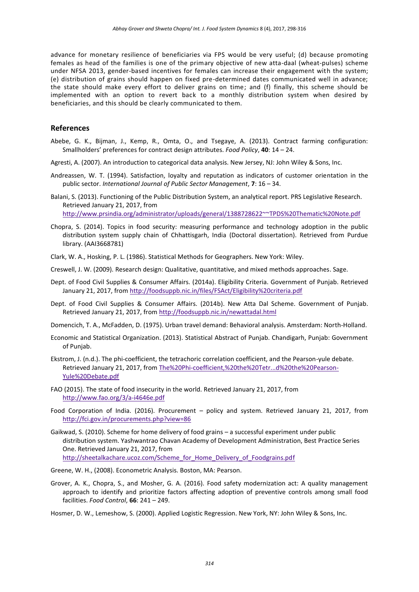advance for monetary resilience of beneficiaries via FPS would be very useful; (d) because promoting females as head of the families is one of the primary objective of new atta-daal (wheat-pulses) scheme under NFSA 2013, gender-based incentives for females can increase their engagement with the system; (e) distribution of grains should happen on fixed pre-determined dates communicated well in advance; the state should make every effort to deliver grains on time; and (f) finally, this scheme should be implemented with an option to revert back to a monthly distribution system when desired by beneficiaries, and this should be clearly communicated to them.

#### **References**

- Abebe, G. K., Bijman, J., Kemp, R., Omta, O., and Tsegaye, A. (2013). Contract farming configuration: Smallholders' preferences for contract design attributes. *Food Policy*, **40**: 14 – 24.
- Agresti, A. (2007). An introduction to categorical data analysis. New Jersey, NJ: John Wiley & Sons, Inc.
- Andreassen, W. T. (1994). Satisfaction, loyalty and reputation as indicators of customer orientation in the public sector. *International Journal of Public Sector Management*, **7**: 16 – 34.
- Balani, S. (2013). Functioning of the Public Distribution System, an analytical report. PRS Legislative Research. Retrieved January 21, 2017, from <http://www.prsindia.org/administrator/uploads/general/1388728622~~TPDS%20Thematic%20Note.pdf>
- Chopra, S. (2014). Topics in food security: measuring performance and technology adoption in the public distribution system supply chain of Chhattisgarh, India (Doctoral dissertation). Retrieved from Purdue library. [\(AAI3668781\)](http://docs.lib.purdue.edu/dissertations/AAI3668781)
- Clark, W. A., Hosking, P. L. (1986). Statistical Methods for Geographers. New York: Wiley.
- Creswell, J. W. (2009). Research design: Qualitative, quantitative, and mixed methods approaches. Sage.
- Dept. of Food Civil Supplies & Consumer Affairs. (2014a). Eligibility Criteria. Government of Punjab. Retrieved January 21, 2017, fro[m http://foodsuppb.nic.in/files/FSAct/Eligibility%20criteria.pdf](http://foodsuppb.nic.in/files/FSAct/Eligibility%20criteria.pdf)
- Dept. of Food Civil Supplies & Consumer Affairs. (2014b). New Atta Dal Scheme. Government of Punjab. Retrieved January 21, 2017, from<http://foodsuppb.nic.in/newattadal.html>
- Domencich, T. A., McFadden, D. (1975). Urban travel demand: Behavioral analysis. Amsterdam: North-Holland.
- Economic and Statistical Organization. (2013). Statistical Abstract of Punjab. Chandigarh, Punjab: Government of Punjab.
- Ekstrom, J. (n.d.). The phi-coefficient, the tetrachoric correlation coefficient, and the Pearson-yule debate. Retrieved January 21, 2017, from [The%20Phi-coefficient,%20the%20Tetr...d%20the%20Pearson-](https://www.researchgate.net/file.PostFileLoader.html?id=55411acfd2fd64fc648b45b0&assetKey=AS%3A273768193167361%401442282831648)[Yule%20Debate.pdf](https://www.researchgate.net/file.PostFileLoader.html?id=55411acfd2fd64fc648b45b0&assetKey=AS%3A273768193167361%401442282831648)
- FAO (2015). The state of food insecurity in the world. Retrieved January 21, 2017, from <http://www.fao.org/3/a-i4646e.pdf>
- Food Corporation of India. (2016). Procurement policy and system. Retrieved January 21, 2017, from <http://fci.gov.in/procurements.php?view=86>
- Gaikwad, S. (2010). Scheme for home delivery of food grains a successful experiment under public distribution system. Yashwantrao Chavan Academy of Development Administration, Best Practice Series One. Retrieved January 21, 2017, from [http://sheetalkachare.ucoz.com/Scheme\\_for\\_Home\\_Delivery\\_of\\_Foodgrains.pdf](http://sheetalkachare.ucoz.com/Scheme_for_Home_Delivery_of_Foodgrains.pdf)
- Greene, W. H., (2008). Econometric Analysis. Boston, MA: Pearson.
- Grover, A. K., Chopra, S., and Mosher, G. A. (2016). Food safety modernization act: A quality management approach to identify and prioritize factors affecting adoption of preventive controls among small food facilities. *Food Control*, **66**: 241 – 249.
- Hosmer, D. W., Lemeshow, S. (2000). Applied Logistic Regression. New York, NY: John Wiley & Sons, Inc.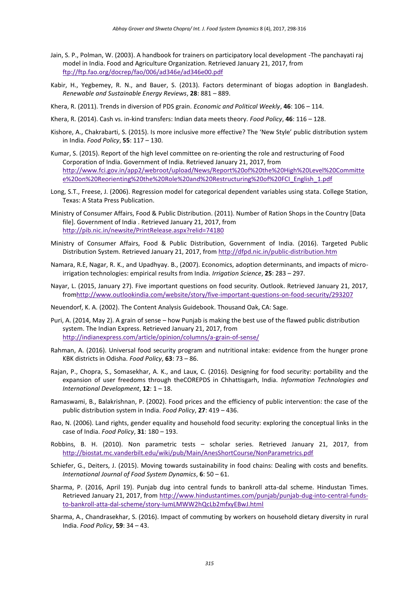- Jain, S. P., Polman, W. (2003). A handbook for trainers on participatory local development -The panchayati raj model in India. Food and Agriculture Organization. Retrieved January 21, 2017, from <ftp://ftp.fao.org/docrep/fao/006/ad346e/ad346e00.pdf>
- Kabir, H., Yegbemey, R. N., and Bauer, S. (2013). Factors determinant of biogas adoption in Bangladesh. *Renewable and Sustainable Energy Reviews*, **28**: 881 – 889.
- Khera, R. (2011). Trends in diversion of PDS grain. *Economic and Political Weekly*, **46**: 106 114.
- Khera, R. (2014). Cash vs. in-kind transfers: Indian data meets theory. *Food Policy*, **46**: 116 128.
- Kishore, A., Chakrabarti, S. (2015). Is more inclusive more effective? The 'New Style' public distribution system in India. *Food Policy*, **55**: 117 – 130.
- Kumar, S. (2015). Report of the high level committee on re-orienting the role and restructuring of Food Corporation of India. Government of India. Retrieved January 21, 2017, from [http://www.fci.gov.in/app2/webroot/upload/News/Report%20of%20the%20High%20Level%20Committe](http://www.fci.gov.in/app2/webroot/upload/News/Report%20of%20the%20High%20Level%20Committee%20on%20Reorienting%20the%20Role%20and%20Restructuring%20of%20FCI_English_1.pdf) [e%20on%20Reorienting%20the%20Role%20and%20Restructuring%20of%20FCI\\_English\\_1.pdf](http://www.fci.gov.in/app2/webroot/upload/News/Report%20of%20the%20High%20Level%20Committee%20on%20Reorienting%20the%20Role%20and%20Restructuring%20of%20FCI_English_1.pdf)
- Long, S.T., Freese, J. (2006). Regression model for categorical dependent variables using stata. College Station, Texas: A Stata Press Publication.
- Ministry of Consumer Affairs, Food & Public Distribution. (2011). Number of Ration Shops in the Country [Data file]. Government of India . Retrieved January 21, 2017, from <http://pib.nic.in/newsite/PrintRelease.aspx?relid=74180>
- Ministry of Consumer Affairs, Food & Public Distribution, Government of India. (2016). Targeted Public Distribution System. Retrieved January 21, 2017, fro[m http://dfpd.nic.in/public-distribution.htm](http://dfpd.nic.in/public-distribution.htm)
- Namara, R.E, Nagar, R. K., and Upadhyay. B., (2007). Economics, adoption determinants, and impacts of microirrigation technologies: empirical results from India. *Irrigation Science*, **25**: 283 – 297.
- Nayar, L. (2015, January 27). Five important questions on food security. Outlook. Retrieved January 21, 2017, fro[mhttp://www.outlookindia.com/website/story/five-important-questions-on-food-security/293207](http://www.outlookindia.com/website/story/five-important-questions-on-food-security/293207)
- Neuendorf, K. A. (2002). The Content Analysis Guidebook. Thousand Oak, CA: Sage.
- Puri, A. (2014, May 2). A grain of sense how Punjab is making the best use of the flawed public distribution system. The Indian Express. Retrieved January 21, 2017, from <http://indianexpress.com/article/opinion/columns/a-grain-of-sense/>
- Rahman, A. (2016). Universal food security program and nutritional intake: evidence from the hunger prone KBK districts in Odisha. *Food Policy*, **63**: 73 – 86.
- Rajan, P., Chopra, S., Somasekhar, A. K., and Laux, C. (2016). Designing for food security: portability and the expansion of user freedoms through theCOREPDS in Chhattisgarh, India. *Information Technologies and International Development*, **12**: 1 – 18.
- Ramaswami, B., Balakrishnan, P. (2002). Food prices and the efficiency of public intervention: the case of the public distribution system in India. *Food Policy*, **27**: 419 – 436.
- Rao, N. (2006). Land rights, gender equality and household food security: exploring the conceptual links in the case of India. *Food Policy*, **31**: 180 – 193.
- Robbins, B. H. (2010). Non parametric tests scholar series. Retrieved January 21, 2017, from <http://biostat.mc.vanderbilt.edu/wiki/pub/Main/AnesShortCourse/NonParametrics.pdf>
- Schiefer, G., Deiters, J. (2015). Moving towards sustainability in food chains: Dealing with costs and benefits. *International Journal of Food System Dynamics*, **6**: 50 – 61.
- Sharma, P. (2016, April 19). Punjab dug into central funds to bankroll atta-dal scheme. Hindustan Times. Retrieved January 21, 2017, fro[m http://www.hindustantimes.com/punjab/punjab-dug-into-central-funds](http://www.hindustantimes.com/punjab/punjab-dug-into-central-funds-to-bankroll-atta-dal-scheme/story-IumLMWW2hQcLb2mfxyEBwJ.html)[to-bankroll-atta-dal-scheme/story-IumLMWW2hQcLb2mfxyEBwJ.html](http://www.hindustantimes.com/punjab/punjab-dug-into-central-funds-to-bankroll-atta-dal-scheme/story-IumLMWW2hQcLb2mfxyEBwJ.html)
- Sharma, A., Chandrasekhar, S. (2016). Impact of commuting by workers on household dietary diversity in rural India. *Food Policy*, **59**: 34 – 43.